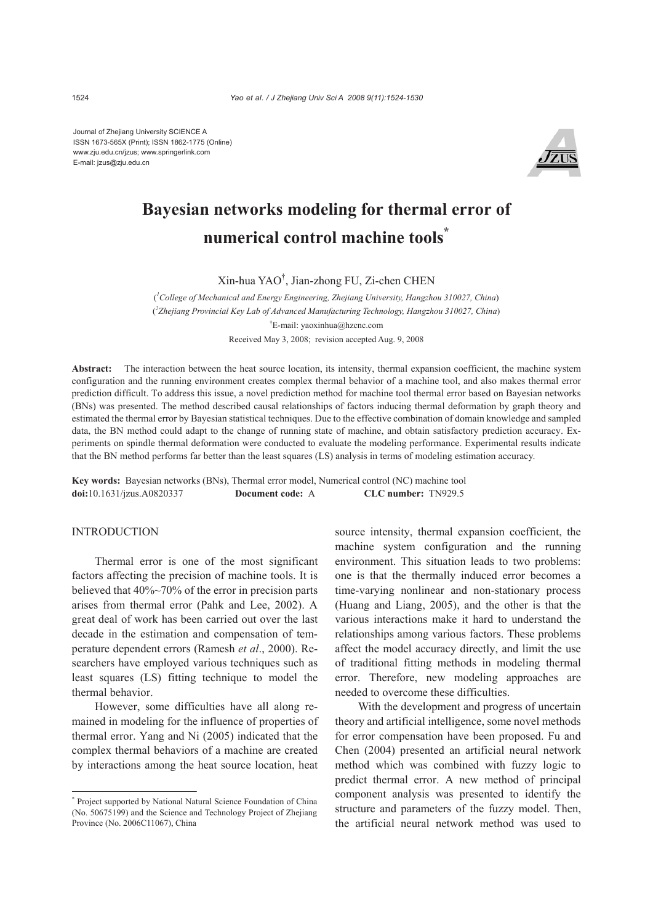Journal of Zhejiang University SCIENCE A ISSN 1673-565X (Print); ISSN 1862-1775 (Online) www.zju.edu.cn/jzus; www.springerlink.com E-mail: jzus@zju.edu.cn



# **Bayesian networks modeling for thermal error of numerical control machine tools\***

Xin-hua YAO† , Jian-zhong FU, Zi-chen CHEN

( *1 College of Mechanical and Energy Engineering, Zhejiang University, Hangzhou 310027, China*) ( *2 Zhejiang Provincial Key Lab of Advanced Manufacturing Technology, Hangzhou 310027, China*) † E-mail: yaoxinhua@hzcnc.com Received May 3, 2008; revision accepted Aug. 9, 2008

**Abstract:** The interaction between the heat source location, its intensity, thermal expansion coefficient, the machine system configuration and the running environment creates complex thermal behavior of a machine tool, and also makes thermal error prediction difficult. To address this issue, a novel prediction method for machine tool thermal error based on Bayesian networks (BNs) was presented. The method described causal relationships of factors inducing thermal deformation by graph theory and estimated the thermal error by Bayesian statistical techniques. Due to the effective combination of domain knowledge and sampled data, the BN method could adapt to the change of running state of machine, and obtain satisfactory prediction accuracy. Experiments on spindle thermal deformation were conducted to evaluate the modeling performance. Experimental results indicate that the BN method performs far better than the least squares (LS) analysis in terms of modeling estimation accuracy.

**Key words:** Bayesian networks (BNs), Thermal error model, Numerical control (NC) machine tool **doi:**10.1631/jzus.A0820337 **Document code:** A **CLC number:** TN929.5

# INTRODUCTION

Thermal error is one of the most significant factors affecting the precision of machine tools. It is believed that 40%~70% of the error in precision parts arises from thermal error (Pahk and Lee, 2002). A great deal of work has been carried out over the last decade in the estimation and compensation of temperature dependent errors (Ramesh *et al*., 2000). Researchers have employed various techniques such as least squares (LS) fitting technique to model the thermal behavior.

However, some difficulties have all along remained in modeling for the influence of properties of thermal error. Yang and Ni (2005) indicated that the complex thermal behaviors of a machine are created by interactions among the heat source location, heat source intensity, thermal expansion coefficient, the machine system configuration and the running environment. This situation leads to two problems: one is that the thermally induced error becomes a time-varying nonlinear and non-stationary process (Huang and Liang, 2005), and the other is that the various interactions make it hard to understand the relationships among various factors. These problems affect the model accuracy directly, and limit the use of traditional fitting methods in modeling thermal error. Therefore, new modeling approaches are needed to overcome these difficulties.

With the development and progress of uncertain theory and artificial intelligence, some novel methods for error compensation have been proposed. Fu and Chen (2004) presented an artificial neural network method which was combined with fuzzy logic to predict thermal error. A new method of principal component analysis was presented to identify the structure and parameters of the fuzzy model. Then, the artificial neural network method was used to

<sup>\*</sup> Project supported by National Natural Science Foundation of China (No. 50675199) and the Science and Technology Project of Zhejiang Province (No. 2006C11067), China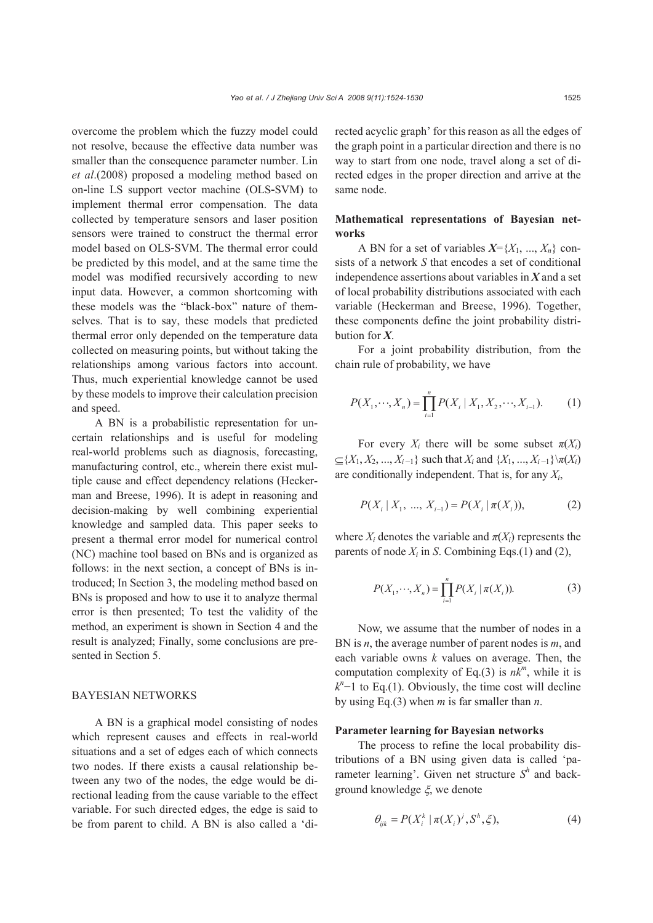overcome the problem which the fuzzy model could not resolve, because the effective data number was smaller than the consequence parameter number. Lin *et al*.(2008) proposed a modeling method based on on-line LS support vector machine (OLS-SVM) to implement thermal error compensation. The data collected by temperature sensors and laser position sensors were trained to construct the thermal error model based on OLS-SVM. The thermal error could be predicted by this model, and at the same time the model was modified recursively according to new input data. However, a common shortcoming with these models was the "black-box" nature of themselves. That is to say, these models that predicted thermal error only depended on the temperature data

collected on measuring points, but without taking the relationships among various factors into account. Thus, much experiential knowledge cannot be used by these models to improve their calculation precision and speed.

A BN is a probabilistic representation for uncertain relationships and is useful for modeling real-world problems such as diagnosis, forecasting, manufacturing control, etc., wherein there exist multiple cause and effect dependency relations (Heckerman and Breese, 1996). It is adept in reasoning and decision-making by well combining experiential knowledge and sampled data. This paper seeks to present a thermal error model for numerical control (NC) machine tool based on BNs and is organized as follows: in the next section, a concept of BNs is introduced; In Section 3, the modeling method based on BNs is proposed and how to use it to analyze thermal error is then presented; To test the validity of the method, an experiment is shown in Section 4 and the result is analyzed; Finally, some conclusions are presented in Section 5.

# BAYESIAN NETWORKS

A BN is a graphical model consisting of nodes which represent causes and effects in real-world situations and a set of edges each of which connects two nodes. If there exists a causal relationship between any two of the nodes, the edge would be directional leading from the cause variable to the effect variable. For such directed edges, the edge is said to be from parent to child. A BN is also called a 'directed acyclic graph' for this reason as all the edges of the graph point in a particular direction and there is no way to start from one node, travel along a set of directed edges in the proper direction and arrive at the same node.

# **Mathematical representations of Bayesian networks**

A BN for a set of variables  $X = \{X_1, ..., X_n\}$  consists of a network *S* that encodes a set of conditional independence assertions about variables in *X* and a set of local probability distributions associated with each variable (Heckerman and Breese, 1996). Together, these components define the joint probability distribution for *X*.

For a joint probability distribution, from the chain rule of probability, we have

$$
P(X_1, \cdots, X_n) = \prod_{i=1}^n P(X_i \mid X_1, X_2, \cdots, X_{i-1}).
$$
 (1)

For every  $X_i$  there will be some subset  $\pi(X_i)$  $\subseteq$ {*X*<sub>1</sub>, *X*<sub>2</sub>, ..., *X*<sub>*i*-1</sub>} such that *X<sub>i</sub>* and {*X*<sub>1</sub>, ..., *X<sub>i</sub>*-1}\ $\pi$ (*X<sub>i</sub>*) are conditionally independent. That is, for any *Xi*,

$$
P(X_i | X_1, ..., X_{i-1}) = P(X_i | \pi(X_i)), \tag{2}
$$

where  $X_i$  denotes the variable and  $\pi(X_i)$  represents the parents of node  $X_i$  in *S*. Combining Eqs.(1) and (2),

$$
P(X_1, \dots, X_n) = \prod_{i=1}^n P(X_i \mid \pi(X_i)).
$$
 (3)

Now, we assume that the number of nodes in a BN is *n*, the average number of parent nodes is *m*, and each variable owns *k* values on average. Then, the computation complexity of Eq.(3) is  $nk^m$ , while it is  $k<sup>n</sup>$ −1 to Eq.(1). Obviously, the time cost will decline by using Eq.(3) when *m* is far smaller than *n*.

#### **Parameter learning for Bayesian networks**

The process to refine the local probability distributions of a BN using given data is called 'parameter learning'. Given net structure  $S<sup>h</sup>$  and background knowledge ξ, we denote

$$
\theta_{ijk} = P(X_i^k | \pi(X_i)^j, S^h, \xi), \tag{4}
$$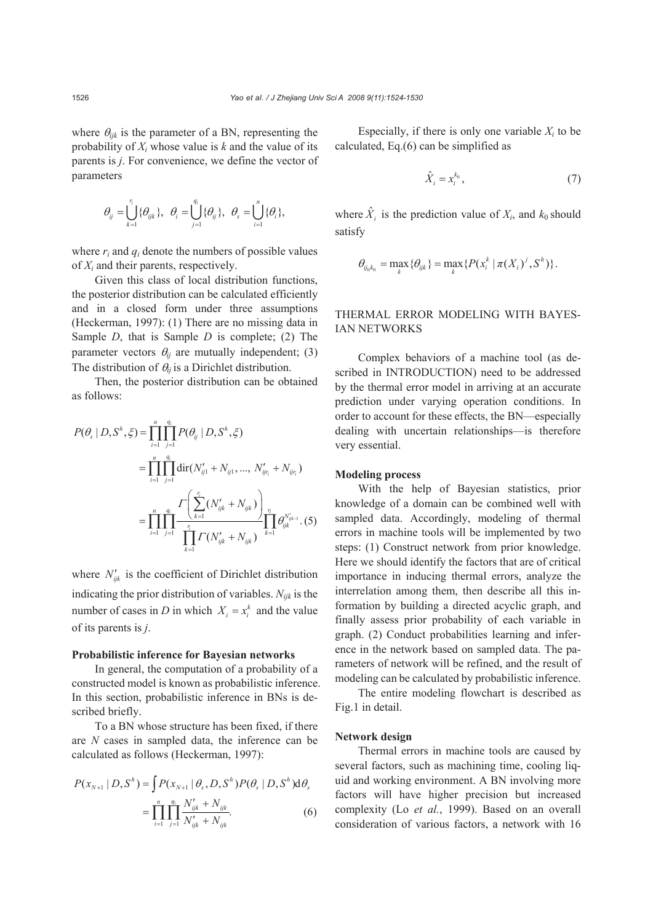where  $\theta_{ijk}$  is the parameter of a BN, representing the probability of *Xi* whose value is *k* and the value of its parents is *j*. For convenience, we define the vector of parameters

$$
\theta_{ij} = \bigcup_{k=1}^n \{ \theta_{ijk} \}, \ \theta_i = \bigcup_{j=1}^n \{ \theta_{ij} \}, \ \theta_s = \bigcup_{i=1}^n \{ \theta_i \},
$$

where  $r_i$  and  $q_i$  denote the numbers of possible values of *Xi* and their parents, respectively.

Given this class of local distribution functions, the posterior distribution can be calculated efficiently and in a closed form under three assumptions (Heckerman, 1997): (1) There are no missing data in Sample *D*, that is Sample *D* is complete; (2) The parameter vectors  $\theta_{ij}$  are mutually independent; (3) The distribution of θ*ij* is a Dirichlet distribution.

Then, the posterior distribution can be obtained as follows:

$$
P(\theta_s | D, S^h, \xi) = \prod_{i=1}^n \prod_{j=1}^{q_i} P(\theta_{ij} | D, S^h, \xi)
$$
  
= 
$$
\prod_{i=1}^n \prod_{j=1}^{q_i} \text{dir}(N'_{ij1} + N_{ij1}, ..., N'_{ij_i} + N_{ij_i})
$$
  
= 
$$
\prod_{i=1}^n \prod_{j=1}^{q_i} \frac{\Gamma\left(\sum_{k=1}^{r_i} (N'_{ijk} + N_{ijk})\right)}{\prod_{k=1}^{r_i} \Gamma(N'_{ijk} + N_{ijk})} \prod_{k=1}^{r_i} \theta_{ijk}^{N'_{ijk-1}}.
$$
(5)

where  $N'_{ijk}$  is the coefficient of Dirichlet distribution indicating the prior distribution of variables. *Nijk* is the number of cases in *D* in which  $X_i = x_i^k$  and the value of its parents is *j*.

#### **Probabilistic inference for Bayesian networks**

In general, the computation of a probability of a constructed model is known as probabilistic inference. In this section, probabilistic inference in BNs is described briefly.

To a BN whose structure has been fixed, if there are *N* cases in sampled data, the inference can be calculated as follows (Heckerman, 1997):

$$
P(x_{N+1} | D, S^h) = \int P(x_{N+1} | \theta_s, D, S^h) P(\theta_s | D, S^h) d\theta_s
$$
  
= 
$$
\prod_{i=1}^n \prod_{j=1}^{q_i} \frac{N'_{ijk} + N_{ijk}}{N'_{ijk} + N_{ijk}}.
$$
 (6)

Especially, if there is only one variable  $X_i$  to be calculated, Eq.(6) can be simplified as

$$
\hat{X}_i = x_i^{k_0},\tag{7}
$$

where  $\hat{X}_i$  is the prediction value of  $X_i$ , and  $k_0$  should satisfy

$$
\theta_{ij_0k_0} = \max_{k} \{ \theta_{ijk} \} = \max_{k} \{ P(x_i^k \mid \pi(X_i)^j, S^h) \}.
$$

# THERMAL ERROR MODELING WITH BAYES-IAN NETWORKS

Complex behaviors of a machine tool (as described in INTRODUCTION) need to be addressed by the thermal error model in arriving at an accurate prediction under varying operation conditions. In order to account for these effects, the BN—especially dealing with uncertain relationships—is therefore very essential.

# **Modeling process**

With the help of Bayesian statistics, prior knowledge of a domain can be combined well with sampled data. Accordingly, modeling of thermal errors in machine tools will be implemented by two steps: (1) Construct network from prior knowledge. Here we should identify the factors that are of critical importance in inducing thermal errors, analyze the interrelation among them, then describe all this information by building a directed acyclic graph, and finally assess prior probability of each variable in graph. (2) Conduct probabilities learning and inference in the network based on sampled data. The parameters of network will be refined, and the result of modeling can be calculated by probabilistic inference.

The entire modeling flowchart is described as Fig.1 in detail.

#### **Network design**

Thermal errors in machine tools are caused by several factors, such as machining time, cooling liquid and working environment. A BN involving more factors will have higher precision but increased complexity (Lo *et al.*, 1999). Based on an overall consideration of various factors, a network with 16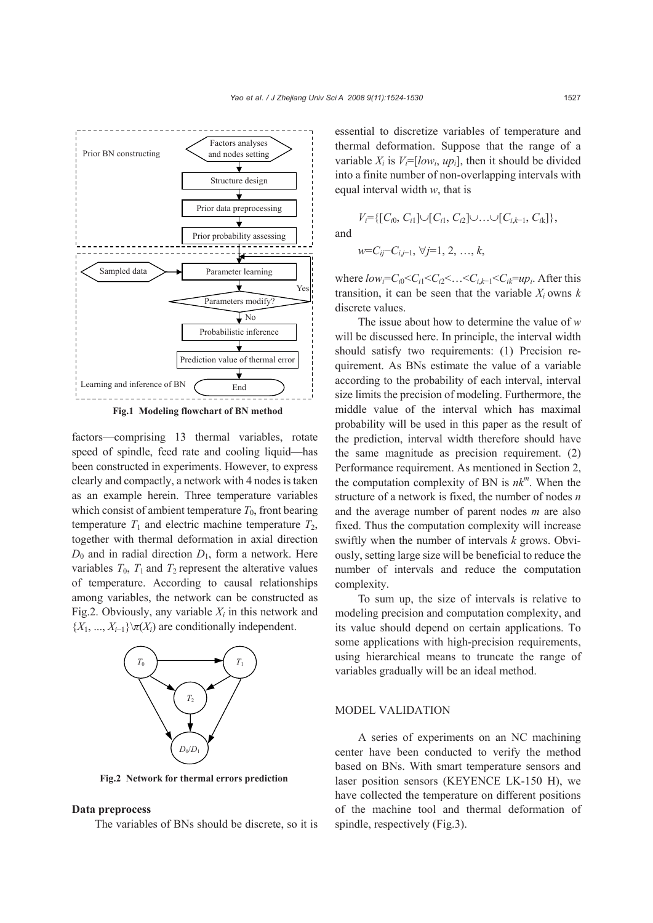



factors—comprising 13 thermal variables, rotate speed of spindle, feed rate and cooling liquid—has been constructed in experiments. However, to express clearly and compactly, a network with 4 nodes is taken as an example herein. Three temperature variables which consist of ambient temperature  $T_0$ , front bearing temperature  $T_1$  and electric machine temperature  $T_2$ , together with thermal deformation in axial direction  $D_0$  and in radial direction  $D_1$ , form a network. Here variables  $T_0$ ,  $T_1$  and  $T_2$  represent the alterative values of temperature. According to causal relationships among variables, the network can be constructed as Fig.2. Obviously, any variable  $X_i$  in this network and  ${X_1, ..., X_{i-1}}\$  $\pi(X_i)$  are conditionally independent.



**Fig.2 Network for thermal errors prediction** 

#### **Data preprocess**

The variables of BNs should be discrete, so it is

essential to discretize variables of temperature and thermal deformation. Suppose that the range of a variable  $X_i$  is  $V_i = [low_i, up_i]$ , then it should be divided into a finite number of non-overlapping intervals with equal interval width *w*, that is

$$
V_i = \{ [C_{i0}, C_{i1}] \cup [C_{i1}, C_{i2}] \cup ... \cup [C_{i,k-1}, C_{ik}] \},
$$
  
and  

$$
w = C_{ij} - C_{i,j-1}, \forall j = 1, 2, ..., k,
$$

where  $low_i=C_iC_1\leq C_iC_2\leq \ldots \leq C_{i,k-1}\leq C_{i\bar{k}}=up_i$ . After this transition, it can be seen that the variable  $X_i$  owns  $k$ discrete values.

The issue about how to determine the value of *w* will be discussed here. In principle, the interval width should satisfy two requirements: (1) Precision requirement. As BNs estimate the value of a variable according to the probability of each interval, interval size limits the precision of modeling. Furthermore, the middle value of the interval which has maximal probability will be used in this paper as the result of the prediction, interval width therefore should have the same magnitude as precision requirement. (2) Performance requirement. As mentioned in Section 2, the computation complexity of BN is  $nk^m$ . When the structure of a network is fixed, the number of nodes *n* and the average number of parent nodes *m* are also fixed. Thus the computation complexity will increase swiftly when the number of intervals *k* grows. Obviously, setting large size will be beneficial to reduce the number of intervals and reduce the computation complexity.

To sum up, the size of intervals is relative to modeling precision and computation complexity, and its value should depend on certain applications. To some applications with high-precision requirements, using hierarchical means to truncate the range of variables gradually will be an ideal method.

#### MODEL VALIDATION

A series of experiments on an NC machining center have been conducted to verify the method based on BNs. With smart temperature sensors and laser position sensors (KEYENCE LK-150 H), we have collected the temperature on different positions of the machine tool and thermal deformation of spindle, respectively (Fig.3).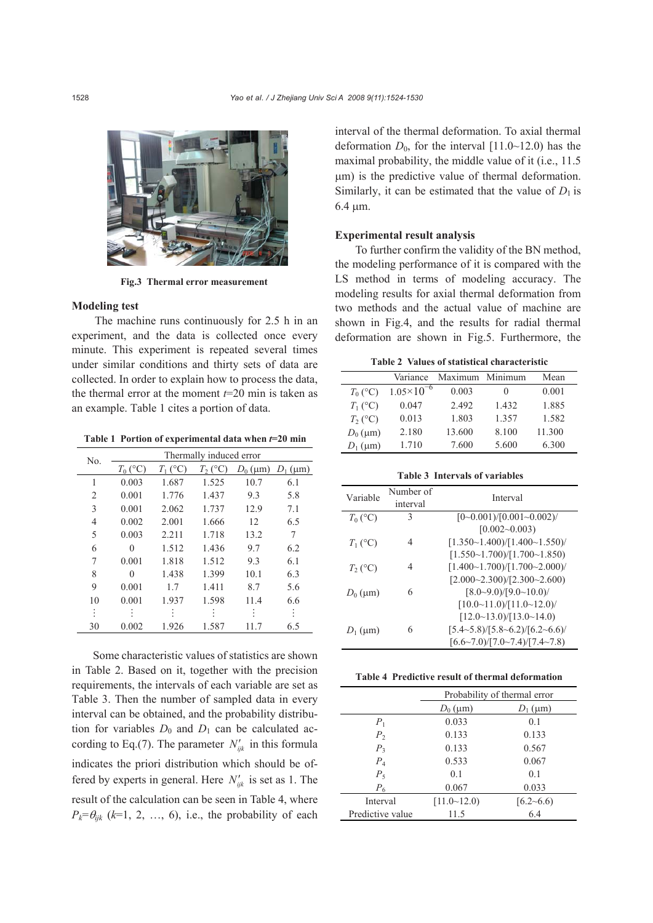

**Fig.3 Thermal error measurement** 

#### **Modeling test**

The machine runs continuously for 2.5 h in an experiment, and the data is collected once every minute. This experiment is repeated several times under similar conditions and thirty sets of data are collected. In order to explain how to process the data, the thermal error at the moment *t*=20 min is taken as an example. Table 1 cites a portion of data.

**Table 1 Portion of experimental data when** *t***=20 min**

| No. | Thermally induced error |            |           |            |            |
|-----|-------------------------|------------|-----------|------------|------------|
|     | $T_0$ (°C)              | $T_1$ (°C) | $T_2$ (°C | $D_0$ (µm) | $D_1$ (µm) |
| 1   | 0.003                   | 1.687      | 1.525     | 10.7       | 6.1        |
| 2   | 0.001                   | 1.776      | 1.437     | 9.3        | 5.8        |
| 3   | 0.001                   | 2.062      | 1.737     | 12.9       | 7.1        |
| 4   | 0.002                   | 2.001      | 1.666     | 12         | 6.5        |
| 5   | 0.003                   | 2.211      | 1.718     | 13.2       | 7          |
| 6   | 0                       | 1.512      | 1.436     | 9.7        | 6.2        |
| 7   | 0.001                   | 1.818      | 1.512     | 9.3        | 6.1        |
| 8   | 0                       | 1.438      | 1.399     | 10.1       | 6.3        |
| 9   | 0.001                   | 1.7        | 1.411     | 8.7        | 5.6        |
| 10  | 0.001                   | 1.937      | 1.598     | 11.4       | 6.6        |
| ÷   |                         |            |           | ٠          | $\vdots$   |
| 30  | 0.002                   | 1.926      | 1.587     | 11.7       | 6.5        |

Some characteristic values of statistics are shown in Table 2. Based on it, together with the precision requirements, the intervals of each variable are set as Table 3. Then the number of sampled data in every interval can be obtained, and the probability distribution for variables  $D_0$  and  $D_1$  can be calculated according to Eq.(7). The parameter  $N'_{ijk}$  in this formula indicates the priori distribution which should be offered by experts in general. Here  $N'_{ijk}$  is set as 1. The result of the calculation can be seen in Table 4, where  $P_k = \theta_{ijk}$  ( $k=1, 2, ..., 6$ ), i.e., the probability of each interval of the thermal deformation. To axial thermal deformation  $D_0$ , for the interval [11.0~12.0) has the maximal probability, the middle value of it (i.e., 11.5 μm) is the predictive value of thermal deformation. Similarly, it can be estimated that the value of  $D_1$  is 6.4 μm.

# **Experimental result analysis**

To further confirm the validity of the BN method, the modeling performance of it is compared with the LS method in terms of modeling accuracy. The modeling results for axial thermal deformation from two methods and the actual value of machine are shown in Fig.4, and the results for radial thermal deformation are shown in Fig.5. Furthermore, the

**Table 2 Values of statistical characteristic** 

|            | Variance              | Maximum Minimum |          | Mean   |
|------------|-----------------------|-----------------|----------|--------|
| $T_0$ (°C) | $1.05 \times 10^{-6}$ | 0.003           | $\theta$ | 0.001  |
| $T_1$ (°C) | 0.047                 | 2.492           | 1.432    | 1.885  |
| $T_2$ (°C) | 0.013                 | 1.803           | 1.357    | 1.582  |
| $D_0$ (µm) | 2.180                 | 13.600          | 8.100    | 11.300 |
| $D_1$ (µm) | 1.710                 | 7.600           | 5.600    | 6.300  |

#### **Table 3 Intervals of variables**

| Variable   | Number of | Interval                                       |  |
|------------|-----------|------------------------------------------------|--|
|            | interval  |                                                |  |
| $T_0$ (°C) | 3         | $[0 - 0.001)/[0.001 - 0.002]$                  |  |
|            |           | $[0.002 - 0.003]$                              |  |
| $T_1$ (°C) | 4         | [1.350~1.400]/[1.400~1.550]                    |  |
|            |           | [1.550~1.700]/[1.700~1.850)                    |  |
| $T_2$ (°C) | 4         | $[1.400 \sim 1.700]/[1.700 \sim 2.000]$        |  |
|            |           | [2.000~2.300)/[2.300~2.600]                    |  |
| $D_0$ (µm) | 6         | $[8.0 - 9.0)/[9.0 - 10.0]$                     |  |
|            |           | [10.0~11.0) / [11.0~12.0]                      |  |
|            |           | $[12.0 \sim 13.0) / [13.0 \sim 14.0]$          |  |
| $D_1$ (um) | 6         | $[5.4 \sim 5.8)/[5.8 \sim 6.2)/[6.2 \sim 6.6]$ |  |
|            |           | [6.6~7.0)/[7.0~7.4]/[7.4~7.8]                  |  |

|  |  |  |  |  | Table 4 Predictive result of thermal deformation |
|--|--|--|--|--|--------------------------------------------------|
|--|--|--|--|--|--------------------------------------------------|

|                  | Probability of thermal error |               |
|------------------|------------------------------|---------------|
|                  | $D_0$ (µm)<br>$D_1$ (µm)     |               |
| $P_1$            | 0.033                        | 0.1           |
| P <sub>2</sub>   | 0.133                        | 0.133         |
| $P_3$            | 0.133                        | 0.567         |
| $P_4$            | 0.533                        | 0.067         |
| $P_5$            | 0.1                          | 0.1           |
| $P_6$            | 0.067                        | 0.033         |
| Interval         | $[11.0 \sim 12.0]$           | $[6.2 - 6.6]$ |
| Predictive value | 11.5                         | 6.4           |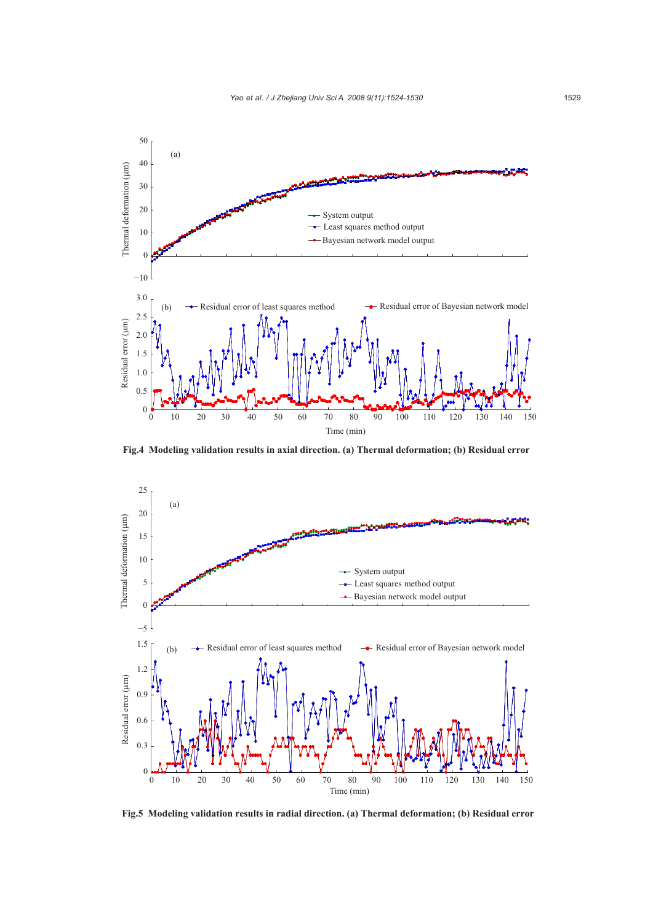

**Fig.4 Modeling validation results in axial direction. (a) Thermal deformation; (b) Residual error** 



**Fig.5 Modeling validation results in radial direction. (a) Thermal deformation; (b) Residual error**